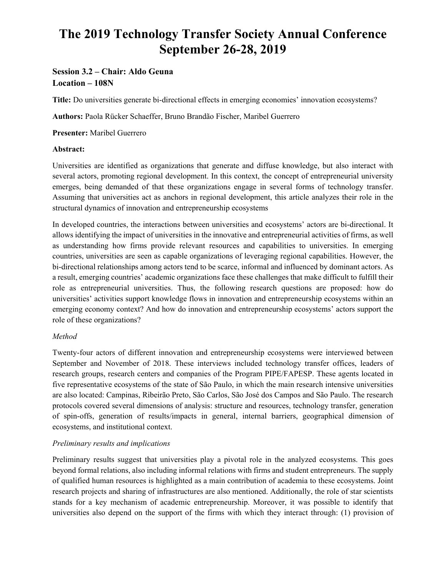# **The 2019 Technology Transfer Society Annual Conference September 26-28, 2019**

## **Session 3.2 – Chair: Aldo Geuna Location – 108N**

**Title:** Do universities generate bi-directional effects in emerging economies' innovation ecosystems?

**Authors:** Paola Rücker Schaeffer, Bruno Brandão Fischer, Maribel Guerrero

**Presenter:** Maribel Guerrero

#### **Abstract:**

Universities are identified as organizations that generate and diffuse knowledge, but also interact with several actors, promoting regional development. In this context, the concept of entrepreneurial university emerges, being demanded of that these organizations engage in several forms of technology transfer. Assuming that universities act as anchors in regional development, this article analyzes their role in the structural dynamics of innovation and entrepreneurship ecosystems

In developed countries, the interactions between universities and ecosystems' actors are bi-directional. It allows identifying the impact of universities in the innovative and entrepreneurial activities of firms, as well as understanding how firms provide relevant resources and capabilities to universities. In emerging countries, universities are seen as capable organizations of leveraging regional capabilities. However, the bi-directional relationships among actors tend to be scarce, informal and influenced by dominant actors. As a result, emerging countries' academic organizations face these challenges that make difficult to fulfill their role as entrepreneurial universities. Thus, the following research questions are proposed: how do universities' activities support knowledge flows in innovation and entrepreneurship ecosystems within an emerging economy context? And how do innovation and entrepreneurship ecosystems' actors support the role of these organizations?

### *Method*

Twenty-four actors of different innovation and entrepreneurship ecosystems were interviewed between September and November of 2018. These interviews included technology transfer offices, leaders of research groups, research centers and companies of the Program PIPE/FAPESP. These agents located in five representative ecosystems of the state of São Paulo, in which the main research intensive universities are also located: Campinas, Ribeirão Preto, São Carlos, São José dos Campos and São Paulo. The research protocols covered several dimensions of analysis: structure and resources, technology transfer, generation of spin-offs, generation of results/impacts in general, internal barriers, geographical dimension of ecosystems, and institutional context.

### *Preliminary results and implications*

Preliminary results suggest that universities play a pivotal role in the analyzed ecosystems. This goes beyond formal relations, also including informal relations with firms and student entrepreneurs. The supply of qualified human resources is highlighted as a main contribution of academia to these ecosystems. Joint research projects and sharing of infrastructures are also mentioned. Additionally, the role of star scientists stands for a key mechanism of academic entrepreneurship. Moreover, it was possible to identify that universities also depend on the support of the firms with which they interact through: (1) provision of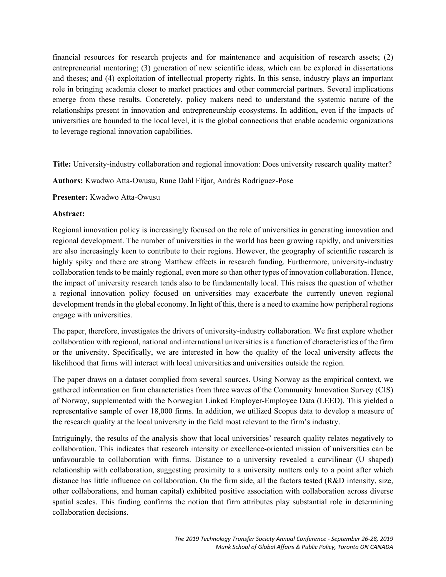financial resources for research projects and for maintenance and acquisition of research assets; (2) entrepreneurial mentoring; (3) generation of new scientific ideas, which can be explored in dissertations and theses; and (4) exploitation of intellectual property rights. In this sense, industry plays an important role in bringing academia closer to market practices and other commercial partners. Several implications emerge from these results. Concretely, policy makers need to understand the systemic nature of the relationships present in innovation and entrepreneurship ecosystems. In addition, even if the impacts of universities are bounded to the local level, it is the global connections that enable academic organizations to leverage regional innovation capabilities.

**Title:** University-industry collaboration and regional innovation: Does university research quality matter?

**Authors:** Kwadwo Atta-Owusu, Rune Dahl Fitjar, Andrés Rodríguez-Pose

**Presenter:** Kwadwo Atta-Owusu

#### **Abstract:**

Regional innovation policy is increasingly focused on the role of universities in generating innovation and regional development. The number of universities in the world has been growing rapidly, and universities are also increasingly keen to contribute to their regions. However, the geography of scientific research is highly spiky and there are strong Matthew effects in research funding. Furthermore, university-industry collaboration tends to be mainly regional, even more so than other types of innovation collaboration. Hence, the impact of university research tends also to be fundamentally local. This raises the question of whether a regional innovation policy focused on universities may exacerbate the currently uneven regional development trends in the global economy. In light of this, there is a need to examine how peripheral regions engage with universities.

The paper, therefore, investigates the drivers of university-industry collaboration. We first explore whether collaboration with regional, national and international universities is a function of characteristics of the firm or the university. Specifically, we are interested in how the quality of the local university affects the likelihood that firms will interact with local universities and universities outside the region.

The paper draws on a dataset complied from several sources. Using Norway as the empirical context, we gathered information on firm characteristics from three waves of the Community Innovation Survey (CIS) of Norway, supplemented with the Norwegian Linked Employer-Employee Data (LEED). This yielded a representative sample of over 18,000 firms. In addition, we utilized Scopus data to develop a measure of the research quality at the local university in the field most relevant to the firm's industry.

Intriguingly, the results of the analysis show that local universities' research quality relates negatively to collaboration. This indicates that research intensity or excellence-oriented mission of universities can be unfavourable to collaboration with firms. Distance to a university revealed a curvilinear (U shaped) relationship with collaboration, suggesting proximity to a university matters only to a point after which distance has little influence on collaboration. On the firm side, all the factors tested (R&D intensity, size, other collaborations, and human capital) exhibited positive association with collaboration across diverse spatial scales. This finding confirms the notion that firm attributes play substantial role in determining collaboration decisions.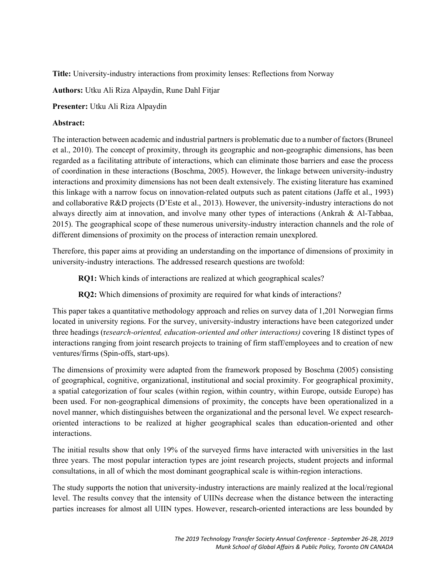**Title:** University-industry interactions from proximity lenses: Reflections from Norway

**Authors:** Utku Ali Riza Alpaydin, Rune Dahl Fitjar

**Presenter:** Utku Ali Riza Alpaydin

#### **Abstract:**

The interaction between academic and industrial partners is problematic due to a number of factors (Bruneel et al., 2010). The concept of proximity, through its geographic and non-geographic dimensions, has been regarded as a facilitating attribute of interactions, which can eliminate those barriers and ease the process of coordination in these interactions (Boschma, 2005). However, the linkage between university-industry interactions and proximity dimensions has not been dealt extensively. The existing literature has examined this linkage with a narrow focus on innovation-related outputs such as patent citations (Jaffe et al., 1993) and collaborative R&D projects (D'Este et al., 2013). However, the university-industry interactions do not always directly aim at innovation, and involve many other types of interactions (Ankrah & Al-Tabbaa, 2015). The geographical scope of these numerous university-industry interaction channels and the role of different dimensions of proximity on the process of interaction remain unexplored.

Therefore, this paper aims at providing an understanding on the importance of dimensions of proximity in university-industry interactions. The addressed research questions are twofold:

**RQ1:** Which kinds of interactions are realized at which geographical scales?

**RQ2:** Which dimensions of proximity are required for what kinds of interactions?

This paper takes a quantitative methodology approach and relies on survey data of 1,201 Norwegian firms located in university regions. For the survey, university-industry interactions have been categorized under three headings (r*esearch-oriented, education-oriented and other interactions)* covering 18 distinct types of interactions ranging from joint research projects to training of firm staff/employees and to creation of new ventures/firms (Spin-offs, start-ups).

The dimensions of proximity were adapted from the framework proposed by Boschma (2005) consisting of geographical, cognitive, organizational, institutional and social proximity. For geographical proximity, a spatial categorization of four scales (within region, within country, within Europe, outside Europe) has been used. For non-geographical dimensions of proximity, the concepts have been operationalized in a novel manner, which distinguishes between the organizational and the personal level. We expect researchoriented interactions to be realized at higher geographical scales than education-oriented and other interactions.

The initial results show that only 19% of the surveyed firms have interacted with universities in the last three years. The most popular interaction types are joint research projects, student projects and informal consultations, in all of which the most dominant geographical scale is within-region interactions.

The study supports the notion that university-industry interactions are mainly realized at the local/regional level. The results convey that the intensity of UIINs decrease when the distance between the interacting parties increases for almost all UIIN types. However, research-oriented interactions are less bounded by